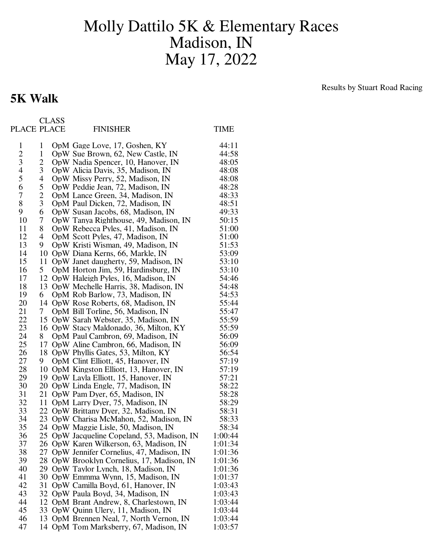## Molly Dattilo 5K & Elementary Races Madison, IN May 17, 2022

## **5K Walk**

CLASS

Results by Stuart Road Racing

| $\mathbf{1}$<br>44:11<br>1<br>OpM Gage Love, 17, Goshen, KY<br>$rac{2}{3}$<br>44:58<br>$\mathbf{1}$<br>OpW Sue Brown, 62, New Castle, IN<br>48:05<br>2<br>OpW Nadia Spencer, 10, Hanover, IN<br>$\overline{4}$<br>3<br>48:08<br>OpW Alicia Davis, 35, Madison, IN<br>5<br>4<br>48:08<br>OpW Missy Perry, 52, Madison, IN<br>6<br>5<br>48:28<br>OpW Peddie Jean, 72, Madison, IN<br>$\overline{7}$<br>$\overline{2}$<br>48:33<br>OpM Lance Green, 34, Madison, IN<br>8<br>3<br>48:51<br>OpM Paul Dicken, 72, Madison, IN<br>9<br>6<br>49:33<br>OpW Susan Jacobs, 68, Madison, IN<br>10<br>50:15<br>7<br>OpW Tanya Righthouse, 49, Madison, IN<br>11<br>51:00<br>8<br>OpW Rebecca Pyles, 41, Madison, IN<br>12<br>51:00<br>4<br>OpM Scott Pyles, 47, Madison, IN<br>13<br>51:53<br>9<br>OpW Kristi Wisman, 49, Madison, IN<br>14<br>53:09<br>10<br>OpW Diana Kerns, 66, Markle, IN<br>15<br>53:10<br>11<br>OpW Janet daugherty, 59, Madison, IN<br>16<br>5<br>53:10<br>OpM Horton Jim, 59, Hardinsburg, IN<br>17<br>54:46<br>12<br>OpW Haleigh Pyles, 16, Madison, IN<br>18<br>54:48<br>13<br>OpW Mechelle Harris, 38, Madison, IN<br>19<br>54:53<br>6<br>OpM Rob Barlow, 73, Madison, IN<br>20<br>14<br>55:44<br>OpW Rose Roberts, 68, Madison, IN<br>21<br>55:47<br>7<br>OpM Bill Torline, 56, Madison, IN<br>22<br>55:59<br>15<br>OpW Sarah Webster, 35, Madison, IN<br>23<br>55:59<br>16<br>OpW Stacy Maldonado, 36, Milton, KY<br>24<br>56:09<br>8<br>OpM Paul Cambron, 69, Madison, IN<br>25<br>56:09<br>17<br>OpW Aline Cambron, 66, Madison, IN<br>26<br>56:54<br>18<br>OpW Phyllis Gates, 53, Milton, KY<br>27<br>57:19<br>OpM Clint Elliott, 45, Hanover, IN<br>9.<br>28<br>10<br>57:19<br>OpM Kingston Elliott, 13, Hanover, IN<br>29<br>OpW Layla Elliott, 15, Hanover, IN<br>57:21<br>19<br>30<br>58:22<br>20<br>OpW Linda Engle, 77, Madison, IN<br>31<br>58:28<br>21<br>OpW Pam Dyer, 65, Madison, IN<br>32<br>58:29<br>11<br>OpM Larry Dyer, 75, Madison, IN<br>33<br>22<br>58:31<br>OpW Brittany Dyer, 32, Madison, IN<br>34<br>23 OpW Charisa McMahon, 52, Madison, IN<br>58:33<br>35<br>24 OpW Maggie Lisle, 50, Madison, IN<br>58:34<br>25 OpW Jacqueline Copeland, 53, Madison, IN<br>1:00:44<br>36<br>37<br>1:01:34<br>26<br>OpW Karen Wilkerson, 63, Madison, IN<br>38<br>27<br>OpW Jennifer Cornelius, 47, Madison, IN<br>1:01:36<br>39<br>28<br>OpW Brooklyn Cornelius, 17, Madison, IN<br>1:01:36<br>40<br>29<br>1:01:36<br>OpW Taylor Lynch, 18, Madison, IN<br>41<br>30<br>OpW Emmma Wynn, 15, Madison, IN<br>1:01:37<br>42<br>31<br>OpW Camilla Boyd, 61, Hanover, IN<br>1:03:43<br>43<br>32<br>1:03:43<br>OpW Paula Boyd, 34, Madison, IN<br>44<br>12<br>OpM Brant Andrew, 8, Charlestown, IN<br>1:03:44<br>45<br>OpW Quinn Ulery, 11, Madison, IN<br>1:03:44<br>33<br>46<br>13<br>OpM Brennen Neal, 7, North Vernon, IN<br>1:03:44<br>47<br>1:03:57<br>OpM Tom Marksberry, 67, Madison, IN<br>14 | PLACE PLACE |  | <b>FINISHER</b> | <b>TIME</b> |
|-------------------------------------------------------------------------------------------------------------------------------------------------------------------------------------------------------------------------------------------------------------------------------------------------------------------------------------------------------------------------------------------------------------------------------------------------------------------------------------------------------------------------------------------------------------------------------------------------------------------------------------------------------------------------------------------------------------------------------------------------------------------------------------------------------------------------------------------------------------------------------------------------------------------------------------------------------------------------------------------------------------------------------------------------------------------------------------------------------------------------------------------------------------------------------------------------------------------------------------------------------------------------------------------------------------------------------------------------------------------------------------------------------------------------------------------------------------------------------------------------------------------------------------------------------------------------------------------------------------------------------------------------------------------------------------------------------------------------------------------------------------------------------------------------------------------------------------------------------------------------------------------------------------------------------------------------------------------------------------------------------------------------------------------------------------------------------------------------------------------------------------------------------------------------------------------------------------------------------------------------------------------------------------------------------------------------------------------------------------------------------------------------------------------------------------------------------------------------------------------------------------------------------------------------------------------------------------------------------------------------------------------------------------------------------------------------------------------------------------------------------------------------------------------------------------------------------------------------------------------------------------------------------------------------------|-------------|--|-----------------|-------------|
|                                                                                                                                                                                                                                                                                                                                                                                                                                                                                                                                                                                                                                                                                                                                                                                                                                                                                                                                                                                                                                                                                                                                                                                                                                                                                                                                                                                                                                                                                                                                                                                                                                                                                                                                                                                                                                                                                                                                                                                                                                                                                                                                                                                                                                                                                                                                                                                                                                                                                                                                                                                                                                                                                                                                                                                                                                                                                                                               |             |  |                 |             |
|                                                                                                                                                                                                                                                                                                                                                                                                                                                                                                                                                                                                                                                                                                                                                                                                                                                                                                                                                                                                                                                                                                                                                                                                                                                                                                                                                                                                                                                                                                                                                                                                                                                                                                                                                                                                                                                                                                                                                                                                                                                                                                                                                                                                                                                                                                                                                                                                                                                                                                                                                                                                                                                                                                                                                                                                                                                                                                                               |             |  |                 |             |
|                                                                                                                                                                                                                                                                                                                                                                                                                                                                                                                                                                                                                                                                                                                                                                                                                                                                                                                                                                                                                                                                                                                                                                                                                                                                                                                                                                                                                                                                                                                                                                                                                                                                                                                                                                                                                                                                                                                                                                                                                                                                                                                                                                                                                                                                                                                                                                                                                                                                                                                                                                                                                                                                                                                                                                                                                                                                                                                               |             |  |                 |             |
|                                                                                                                                                                                                                                                                                                                                                                                                                                                                                                                                                                                                                                                                                                                                                                                                                                                                                                                                                                                                                                                                                                                                                                                                                                                                                                                                                                                                                                                                                                                                                                                                                                                                                                                                                                                                                                                                                                                                                                                                                                                                                                                                                                                                                                                                                                                                                                                                                                                                                                                                                                                                                                                                                                                                                                                                                                                                                                                               |             |  |                 |             |
|                                                                                                                                                                                                                                                                                                                                                                                                                                                                                                                                                                                                                                                                                                                                                                                                                                                                                                                                                                                                                                                                                                                                                                                                                                                                                                                                                                                                                                                                                                                                                                                                                                                                                                                                                                                                                                                                                                                                                                                                                                                                                                                                                                                                                                                                                                                                                                                                                                                                                                                                                                                                                                                                                                                                                                                                                                                                                                                               |             |  |                 |             |
|                                                                                                                                                                                                                                                                                                                                                                                                                                                                                                                                                                                                                                                                                                                                                                                                                                                                                                                                                                                                                                                                                                                                                                                                                                                                                                                                                                                                                                                                                                                                                                                                                                                                                                                                                                                                                                                                                                                                                                                                                                                                                                                                                                                                                                                                                                                                                                                                                                                                                                                                                                                                                                                                                                                                                                                                                                                                                                                               |             |  |                 |             |
|                                                                                                                                                                                                                                                                                                                                                                                                                                                                                                                                                                                                                                                                                                                                                                                                                                                                                                                                                                                                                                                                                                                                                                                                                                                                                                                                                                                                                                                                                                                                                                                                                                                                                                                                                                                                                                                                                                                                                                                                                                                                                                                                                                                                                                                                                                                                                                                                                                                                                                                                                                                                                                                                                                                                                                                                                                                                                                                               |             |  |                 |             |
|                                                                                                                                                                                                                                                                                                                                                                                                                                                                                                                                                                                                                                                                                                                                                                                                                                                                                                                                                                                                                                                                                                                                                                                                                                                                                                                                                                                                                                                                                                                                                                                                                                                                                                                                                                                                                                                                                                                                                                                                                                                                                                                                                                                                                                                                                                                                                                                                                                                                                                                                                                                                                                                                                                                                                                                                                                                                                                                               |             |  |                 |             |
|                                                                                                                                                                                                                                                                                                                                                                                                                                                                                                                                                                                                                                                                                                                                                                                                                                                                                                                                                                                                                                                                                                                                                                                                                                                                                                                                                                                                                                                                                                                                                                                                                                                                                                                                                                                                                                                                                                                                                                                                                                                                                                                                                                                                                                                                                                                                                                                                                                                                                                                                                                                                                                                                                                                                                                                                                                                                                                                               |             |  |                 |             |
|                                                                                                                                                                                                                                                                                                                                                                                                                                                                                                                                                                                                                                                                                                                                                                                                                                                                                                                                                                                                                                                                                                                                                                                                                                                                                                                                                                                                                                                                                                                                                                                                                                                                                                                                                                                                                                                                                                                                                                                                                                                                                                                                                                                                                                                                                                                                                                                                                                                                                                                                                                                                                                                                                                                                                                                                                                                                                                                               |             |  |                 |             |
|                                                                                                                                                                                                                                                                                                                                                                                                                                                                                                                                                                                                                                                                                                                                                                                                                                                                                                                                                                                                                                                                                                                                                                                                                                                                                                                                                                                                                                                                                                                                                                                                                                                                                                                                                                                                                                                                                                                                                                                                                                                                                                                                                                                                                                                                                                                                                                                                                                                                                                                                                                                                                                                                                                                                                                                                                                                                                                                               |             |  |                 |             |
|                                                                                                                                                                                                                                                                                                                                                                                                                                                                                                                                                                                                                                                                                                                                                                                                                                                                                                                                                                                                                                                                                                                                                                                                                                                                                                                                                                                                                                                                                                                                                                                                                                                                                                                                                                                                                                                                                                                                                                                                                                                                                                                                                                                                                                                                                                                                                                                                                                                                                                                                                                                                                                                                                                                                                                                                                                                                                                                               |             |  |                 |             |
|                                                                                                                                                                                                                                                                                                                                                                                                                                                                                                                                                                                                                                                                                                                                                                                                                                                                                                                                                                                                                                                                                                                                                                                                                                                                                                                                                                                                                                                                                                                                                                                                                                                                                                                                                                                                                                                                                                                                                                                                                                                                                                                                                                                                                                                                                                                                                                                                                                                                                                                                                                                                                                                                                                                                                                                                                                                                                                                               |             |  |                 |             |
|                                                                                                                                                                                                                                                                                                                                                                                                                                                                                                                                                                                                                                                                                                                                                                                                                                                                                                                                                                                                                                                                                                                                                                                                                                                                                                                                                                                                                                                                                                                                                                                                                                                                                                                                                                                                                                                                                                                                                                                                                                                                                                                                                                                                                                                                                                                                                                                                                                                                                                                                                                                                                                                                                                                                                                                                                                                                                                                               |             |  |                 |             |
|                                                                                                                                                                                                                                                                                                                                                                                                                                                                                                                                                                                                                                                                                                                                                                                                                                                                                                                                                                                                                                                                                                                                                                                                                                                                                                                                                                                                                                                                                                                                                                                                                                                                                                                                                                                                                                                                                                                                                                                                                                                                                                                                                                                                                                                                                                                                                                                                                                                                                                                                                                                                                                                                                                                                                                                                                                                                                                                               |             |  |                 |             |
|                                                                                                                                                                                                                                                                                                                                                                                                                                                                                                                                                                                                                                                                                                                                                                                                                                                                                                                                                                                                                                                                                                                                                                                                                                                                                                                                                                                                                                                                                                                                                                                                                                                                                                                                                                                                                                                                                                                                                                                                                                                                                                                                                                                                                                                                                                                                                                                                                                                                                                                                                                                                                                                                                                                                                                                                                                                                                                                               |             |  |                 |             |
|                                                                                                                                                                                                                                                                                                                                                                                                                                                                                                                                                                                                                                                                                                                                                                                                                                                                                                                                                                                                                                                                                                                                                                                                                                                                                                                                                                                                                                                                                                                                                                                                                                                                                                                                                                                                                                                                                                                                                                                                                                                                                                                                                                                                                                                                                                                                                                                                                                                                                                                                                                                                                                                                                                                                                                                                                                                                                                                               |             |  |                 |             |
|                                                                                                                                                                                                                                                                                                                                                                                                                                                                                                                                                                                                                                                                                                                                                                                                                                                                                                                                                                                                                                                                                                                                                                                                                                                                                                                                                                                                                                                                                                                                                                                                                                                                                                                                                                                                                                                                                                                                                                                                                                                                                                                                                                                                                                                                                                                                                                                                                                                                                                                                                                                                                                                                                                                                                                                                                                                                                                                               |             |  |                 |             |
|                                                                                                                                                                                                                                                                                                                                                                                                                                                                                                                                                                                                                                                                                                                                                                                                                                                                                                                                                                                                                                                                                                                                                                                                                                                                                                                                                                                                                                                                                                                                                                                                                                                                                                                                                                                                                                                                                                                                                                                                                                                                                                                                                                                                                                                                                                                                                                                                                                                                                                                                                                                                                                                                                                                                                                                                                                                                                                                               |             |  |                 |             |
|                                                                                                                                                                                                                                                                                                                                                                                                                                                                                                                                                                                                                                                                                                                                                                                                                                                                                                                                                                                                                                                                                                                                                                                                                                                                                                                                                                                                                                                                                                                                                                                                                                                                                                                                                                                                                                                                                                                                                                                                                                                                                                                                                                                                                                                                                                                                                                                                                                                                                                                                                                                                                                                                                                                                                                                                                                                                                                                               |             |  |                 |             |
|                                                                                                                                                                                                                                                                                                                                                                                                                                                                                                                                                                                                                                                                                                                                                                                                                                                                                                                                                                                                                                                                                                                                                                                                                                                                                                                                                                                                                                                                                                                                                                                                                                                                                                                                                                                                                                                                                                                                                                                                                                                                                                                                                                                                                                                                                                                                                                                                                                                                                                                                                                                                                                                                                                                                                                                                                                                                                                                               |             |  |                 |             |
|                                                                                                                                                                                                                                                                                                                                                                                                                                                                                                                                                                                                                                                                                                                                                                                                                                                                                                                                                                                                                                                                                                                                                                                                                                                                                                                                                                                                                                                                                                                                                                                                                                                                                                                                                                                                                                                                                                                                                                                                                                                                                                                                                                                                                                                                                                                                                                                                                                                                                                                                                                                                                                                                                                                                                                                                                                                                                                                               |             |  |                 |             |
|                                                                                                                                                                                                                                                                                                                                                                                                                                                                                                                                                                                                                                                                                                                                                                                                                                                                                                                                                                                                                                                                                                                                                                                                                                                                                                                                                                                                                                                                                                                                                                                                                                                                                                                                                                                                                                                                                                                                                                                                                                                                                                                                                                                                                                                                                                                                                                                                                                                                                                                                                                                                                                                                                                                                                                                                                                                                                                                               |             |  |                 |             |
|                                                                                                                                                                                                                                                                                                                                                                                                                                                                                                                                                                                                                                                                                                                                                                                                                                                                                                                                                                                                                                                                                                                                                                                                                                                                                                                                                                                                                                                                                                                                                                                                                                                                                                                                                                                                                                                                                                                                                                                                                                                                                                                                                                                                                                                                                                                                                                                                                                                                                                                                                                                                                                                                                                                                                                                                                                                                                                                               |             |  |                 |             |
|                                                                                                                                                                                                                                                                                                                                                                                                                                                                                                                                                                                                                                                                                                                                                                                                                                                                                                                                                                                                                                                                                                                                                                                                                                                                                                                                                                                                                                                                                                                                                                                                                                                                                                                                                                                                                                                                                                                                                                                                                                                                                                                                                                                                                                                                                                                                                                                                                                                                                                                                                                                                                                                                                                                                                                                                                                                                                                                               |             |  |                 |             |
|                                                                                                                                                                                                                                                                                                                                                                                                                                                                                                                                                                                                                                                                                                                                                                                                                                                                                                                                                                                                                                                                                                                                                                                                                                                                                                                                                                                                                                                                                                                                                                                                                                                                                                                                                                                                                                                                                                                                                                                                                                                                                                                                                                                                                                                                                                                                                                                                                                                                                                                                                                                                                                                                                                                                                                                                                                                                                                                               |             |  |                 |             |
|                                                                                                                                                                                                                                                                                                                                                                                                                                                                                                                                                                                                                                                                                                                                                                                                                                                                                                                                                                                                                                                                                                                                                                                                                                                                                                                                                                                                                                                                                                                                                                                                                                                                                                                                                                                                                                                                                                                                                                                                                                                                                                                                                                                                                                                                                                                                                                                                                                                                                                                                                                                                                                                                                                                                                                                                                                                                                                                               |             |  |                 |             |
|                                                                                                                                                                                                                                                                                                                                                                                                                                                                                                                                                                                                                                                                                                                                                                                                                                                                                                                                                                                                                                                                                                                                                                                                                                                                                                                                                                                                                                                                                                                                                                                                                                                                                                                                                                                                                                                                                                                                                                                                                                                                                                                                                                                                                                                                                                                                                                                                                                                                                                                                                                                                                                                                                                                                                                                                                                                                                                                               |             |  |                 |             |
|                                                                                                                                                                                                                                                                                                                                                                                                                                                                                                                                                                                                                                                                                                                                                                                                                                                                                                                                                                                                                                                                                                                                                                                                                                                                                                                                                                                                                                                                                                                                                                                                                                                                                                                                                                                                                                                                                                                                                                                                                                                                                                                                                                                                                                                                                                                                                                                                                                                                                                                                                                                                                                                                                                                                                                                                                                                                                                                               |             |  |                 |             |
|                                                                                                                                                                                                                                                                                                                                                                                                                                                                                                                                                                                                                                                                                                                                                                                                                                                                                                                                                                                                                                                                                                                                                                                                                                                                                                                                                                                                                                                                                                                                                                                                                                                                                                                                                                                                                                                                                                                                                                                                                                                                                                                                                                                                                                                                                                                                                                                                                                                                                                                                                                                                                                                                                                                                                                                                                                                                                                                               |             |  |                 |             |
|                                                                                                                                                                                                                                                                                                                                                                                                                                                                                                                                                                                                                                                                                                                                                                                                                                                                                                                                                                                                                                                                                                                                                                                                                                                                                                                                                                                                                                                                                                                                                                                                                                                                                                                                                                                                                                                                                                                                                                                                                                                                                                                                                                                                                                                                                                                                                                                                                                                                                                                                                                                                                                                                                                                                                                                                                                                                                                                               |             |  |                 |             |
|                                                                                                                                                                                                                                                                                                                                                                                                                                                                                                                                                                                                                                                                                                                                                                                                                                                                                                                                                                                                                                                                                                                                                                                                                                                                                                                                                                                                                                                                                                                                                                                                                                                                                                                                                                                                                                                                                                                                                                                                                                                                                                                                                                                                                                                                                                                                                                                                                                                                                                                                                                                                                                                                                                                                                                                                                                                                                                                               |             |  |                 |             |
|                                                                                                                                                                                                                                                                                                                                                                                                                                                                                                                                                                                                                                                                                                                                                                                                                                                                                                                                                                                                                                                                                                                                                                                                                                                                                                                                                                                                                                                                                                                                                                                                                                                                                                                                                                                                                                                                                                                                                                                                                                                                                                                                                                                                                                                                                                                                                                                                                                                                                                                                                                                                                                                                                                                                                                                                                                                                                                                               |             |  |                 |             |
|                                                                                                                                                                                                                                                                                                                                                                                                                                                                                                                                                                                                                                                                                                                                                                                                                                                                                                                                                                                                                                                                                                                                                                                                                                                                                                                                                                                                                                                                                                                                                                                                                                                                                                                                                                                                                                                                                                                                                                                                                                                                                                                                                                                                                                                                                                                                                                                                                                                                                                                                                                                                                                                                                                                                                                                                                                                                                                                               |             |  |                 |             |
|                                                                                                                                                                                                                                                                                                                                                                                                                                                                                                                                                                                                                                                                                                                                                                                                                                                                                                                                                                                                                                                                                                                                                                                                                                                                                                                                                                                                                                                                                                                                                                                                                                                                                                                                                                                                                                                                                                                                                                                                                                                                                                                                                                                                                                                                                                                                                                                                                                                                                                                                                                                                                                                                                                                                                                                                                                                                                                                               |             |  |                 |             |
|                                                                                                                                                                                                                                                                                                                                                                                                                                                                                                                                                                                                                                                                                                                                                                                                                                                                                                                                                                                                                                                                                                                                                                                                                                                                                                                                                                                                                                                                                                                                                                                                                                                                                                                                                                                                                                                                                                                                                                                                                                                                                                                                                                                                                                                                                                                                                                                                                                                                                                                                                                                                                                                                                                                                                                                                                                                                                                                               |             |  |                 |             |
|                                                                                                                                                                                                                                                                                                                                                                                                                                                                                                                                                                                                                                                                                                                                                                                                                                                                                                                                                                                                                                                                                                                                                                                                                                                                                                                                                                                                                                                                                                                                                                                                                                                                                                                                                                                                                                                                                                                                                                                                                                                                                                                                                                                                                                                                                                                                                                                                                                                                                                                                                                                                                                                                                                                                                                                                                                                                                                                               |             |  |                 |             |
|                                                                                                                                                                                                                                                                                                                                                                                                                                                                                                                                                                                                                                                                                                                                                                                                                                                                                                                                                                                                                                                                                                                                                                                                                                                                                                                                                                                                                                                                                                                                                                                                                                                                                                                                                                                                                                                                                                                                                                                                                                                                                                                                                                                                                                                                                                                                                                                                                                                                                                                                                                                                                                                                                                                                                                                                                                                                                                                               |             |  |                 |             |
|                                                                                                                                                                                                                                                                                                                                                                                                                                                                                                                                                                                                                                                                                                                                                                                                                                                                                                                                                                                                                                                                                                                                                                                                                                                                                                                                                                                                                                                                                                                                                                                                                                                                                                                                                                                                                                                                                                                                                                                                                                                                                                                                                                                                                                                                                                                                                                                                                                                                                                                                                                                                                                                                                                                                                                                                                                                                                                                               |             |  |                 |             |
|                                                                                                                                                                                                                                                                                                                                                                                                                                                                                                                                                                                                                                                                                                                                                                                                                                                                                                                                                                                                                                                                                                                                                                                                                                                                                                                                                                                                                                                                                                                                                                                                                                                                                                                                                                                                                                                                                                                                                                                                                                                                                                                                                                                                                                                                                                                                                                                                                                                                                                                                                                                                                                                                                                                                                                                                                                                                                                                               |             |  |                 |             |
|                                                                                                                                                                                                                                                                                                                                                                                                                                                                                                                                                                                                                                                                                                                                                                                                                                                                                                                                                                                                                                                                                                                                                                                                                                                                                                                                                                                                                                                                                                                                                                                                                                                                                                                                                                                                                                                                                                                                                                                                                                                                                                                                                                                                                                                                                                                                                                                                                                                                                                                                                                                                                                                                                                                                                                                                                                                                                                                               |             |  |                 |             |
|                                                                                                                                                                                                                                                                                                                                                                                                                                                                                                                                                                                                                                                                                                                                                                                                                                                                                                                                                                                                                                                                                                                                                                                                                                                                                                                                                                                                                                                                                                                                                                                                                                                                                                                                                                                                                                                                                                                                                                                                                                                                                                                                                                                                                                                                                                                                                                                                                                                                                                                                                                                                                                                                                                                                                                                                                                                                                                                               |             |  |                 |             |
|                                                                                                                                                                                                                                                                                                                                                                                                                                                                                                                                                                                                                                                                                                                                                                                                                                                                                                                                                                                                                                                                                                                                                                                                                                                                                                                                                                                                                                                                                                                                                                                                                                                                                                                                                                                                                                                                                                                                                                                                                                                                                                                                                                                                                                                                                                                                                                                                                                                                                                                                                                                                                                                                                                                                                                                                                                                                                                                               |             |  |                 |             |
|                                                                                                                                                                                                                                                                                                                                                                                                                                                                                                                                                                                                                                                                                                                                                                                                                                                                                                                                                                                                                                                                                                                                                                                                                                                                                                                                                                                                                                                                                                                                                                                                                                                                                                                                                                                                                                                                                                                                                                                                                                                                                                                                                                                                                                                                                                                                                                                                                                                                                                                                                                                                                                                                                                                                                                                                                                                                                                                               |             |  |                 |             |
|                                                                                                                                                                                                                                                                                                                                                                                                                                                                                                                                                                                                                                                                                                                                                                                                                                                                                                                                                                                                                                                                                                                                                                                                                                                                                                                                                                                                                                                                                                                                                                                                                                                                                                                                                                                                                                                                                                                                                                                                                                                                                                                                                                                                                                                                                                                                                                                                                                                                                                                                                                                                                                                                                                                                                                                                                                                                                                                               |             |  |                 |             |
|                                                                                                                                                                                                                                                                                                                                                                                                                                                                                                                                                                                                                                                                                                                                                                                                                                                                                                                                                                                                                                                                                                                                                                                                                                                                                                                                                                                                                                                                                                                                                                                                                                                                                                                                                                                                                                                                                                                                                                                                                                                                                                                                                                                                                                                                                                                                                                                                                                                                                                                                                                                                                                                                                                                                                                                                                                                                                                                               |             |  |                 |             |